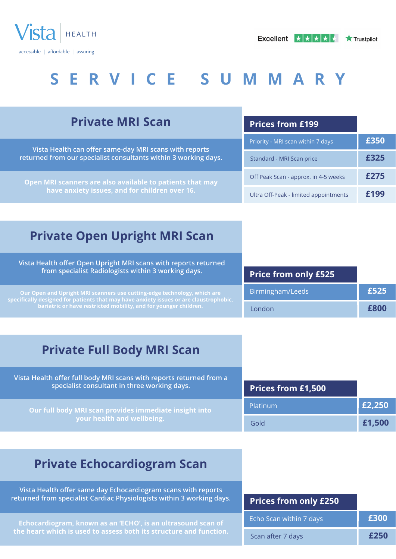

| <b>Private MRI Scan</b>                                                                                                                                                                                                                   | <b>Prices from £199</b>               |      |
|-------------------------------------------------------------------------------------------------------------------------------------------------------------------------------------------------------------------------------------------|---------------------------------------|------|
| Vista Health can offer same-day MRI scans with reports                                                                                                                                                                                    | Priority - MRI scan within 7 days     | £350 |
| returned from our specialist consultants within 3 working days.                                                                                                                                                                           | Standard - MRI Scan price             | £325 |
| Open MRI scanners are also available to patients that may<br>have anxiety issues, and for children over 16.                                                                                                                               | Off Peak Scan - approx. in 4-5 weeks  | £275 |
|                                                                                                                                                                                                                                           | Ultra Off-Peak - limited appointments | £199 |
|                                                                                                                                                                                                                                           |                                       |      |
| <b>Private Open Upright MRI Scan</b>                                                                                                                                                                                                      |                                       |      |
| Vista Health offer Open Upright MRI scans with reports returned                                                                                                                                                                           |                                       |      |
| from specialist Radiologists within 3 working days.                                                                                                                                                                                       | <b>Price from only £525</b>           |      |
| Our Open and Upright MRI scanners use cutting-edge technology, which are<br>$s$ pecifically designed for patients that may have anxiety issues or are claustrophobic,<br>bariatric or have restricted mobility, and for younger children. | Birmingham/Leeds                      | £525 |
|                                                                                                                                                                                                                                           | London                                | £800 |
|                                                                                                                                                                                                                                           |                                       |      |

### **Private Full Body MRI Scan**

**Vista Health offer full body MRI scans with reports returned from a specialist consultant in three working days. Our full body MRI scan provides immediate insight into your health and wellbeing. Prices from £1,500** Platinum **£2,250** Gold **£1,500**

### **Private Echocardiogram Scan**

**Vista Health offer same day Echocardiogram scans with reports returned from specialist Cardiac Physiologists within 3 working days.**

**Echocardiogram, known as an 'ECHO', is an ultrasound scan of the heart which is used to assess both its structure and function.**

| <b>Prices from only £250</b> |      |
|------------------------------|------|
| Echo Scan within 7 days      | £300 |
| Scan after 7 days            | £250 |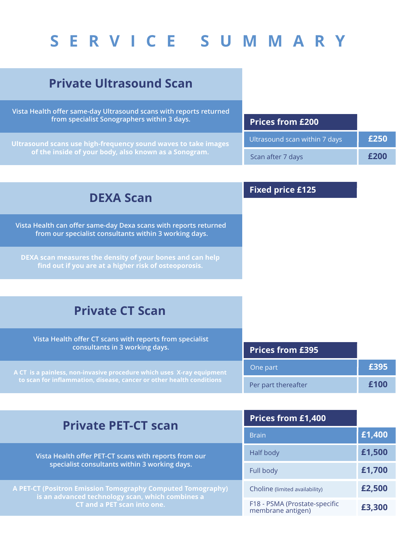### **Private Ultrasound Scan**

**Vista Health offer same-day Ultrasound scans with reports returned from specialist Sonographers within 3 days.**

**Ultrasound scans use high-frequency sound waves to take images of the inside of your body, also known as a Sonogram.**

| <b>Prices from £200</b>       |      |
|-------------------------------|------|
| Ultrasound scan within 7 days | £250 |
| Scan after 7 days             | £200 |

### **DEXA Scan**

**Vista Health can offer same-day Dexa scans with reports returned from our specialist consultants within 3 working days.**

**DEXA scan measures the density of your bones and can help find out if you are at a higher risk of osteoporosis.**

#### **Fixed price £125**

### **Private CT Scan**

| Vista Health offer CT scans with reports from specialist<br>consultants in 3 working days.                                                    | <b>Prices from £395</b> |      |
|-----------------------------------------------------------------------------------------------------------------------------------------------|-------------------------|------|
| A CT is a painless, non-invasive procedure which uses X-ray equipment<br>to scan for inflammation, disease, cancer or other health conditions | One part                | £395 |
|                                                                                                                                               | Per part thereafter     | £100 |

| <b>Private PET-CT scan</b>                                                                                                                            | <b>Prices from £1,400</b>                          |        |
|-------------------------------------------------------------------------------------------------------------------------------------------------------|----------------------------------------------------|--------|
|                                                                                                                                                       | <b>Brain</b>                                       | £1,400 |
| Vista Health offer PET-CT scans with reports from our<br>specialist consultants within 3 working days.                                                | Half body                                          | £1,500 |
|                                                                                                                                                       | Full body                                          | £1,700 |
| A PET-CT (Positron Emission Tomography Computed Tomography)<br>is an advanced technology scan, which combines a<br><b>CT and a PET scan into one.</b> | Choline (limited availability)                     | £2,500 |
|                                                                                                                                                       | F18 - PSMA (Prostate-specific<br>membrane antigen) | £3,300 |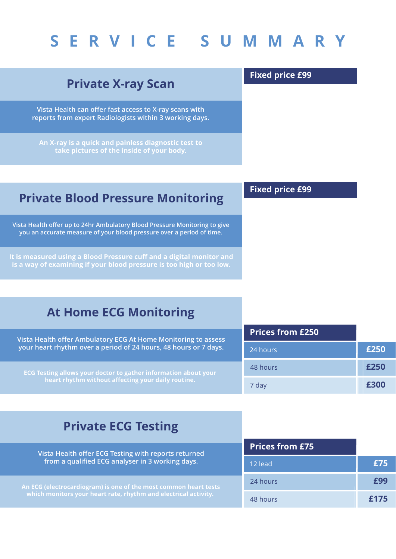### **Private X-ray Scan**

**Vista Health can offer fast access to X-ray scans with reports from expert Radiologists within 3 working days.**

**An X-ray is a quick and painless diagnostic test to take pictures of the inside of your body.**

#### **Private Blood Pressure Monitoring**

**Vista Health offer up to 24hr Ambulatory Blood Pressure Monitoring to give you an accurate measure of your blood pressure over a period of time.**

**It is measured using a Blood Pressure cuff and a digital monitor and is a way of examining if your blood pressure is too high or too low.**

## **Fixed price £99**

**Fixed price £99**

| <b>At Home ECG Monitoring</b> |  |  |  |
|-------------------------------|--|--|--|
|-------------------------------|--|--|--|

| Vista Health offer Ambulatory ECG At Home Monitoring to assess                                                        | <b>Prices from £250</b> |      |
|-----------------------------------------------------------------------------------------------------------------------|-------------------------|------|
| your heart rhythm over a period of 24 hours, 48 hours or 7 days.                                                      | 24 hours                | £250 |
| ECG Testing allows your doctor to gather information about your<br>heart rhythm without affecting your daily routine. | 48 hours                | £250 |
|                                                                                                                       | 7 dav                   |      |

### **Private ECG Testing**

| Vista Health offer ECG Testing with reports returned<br>from a qualified ECG analyser in 3 working days.                                          | <b>Prices from £75</b> |      |
|---------------------------------------------------------------------------------------------------------------------------------------------------|------------------------|------|
|                                                                                                                                                   | 12 lead                | £75  |
| An ECG (electrocardiogram) is one of the most common heart tests<br>which monitors your heart rate, rhythm and electrical activity. $\frac{1}{2}$ | 24 hours               | £99  |
|                                                                                                                                                   | 48 hours               | £175 |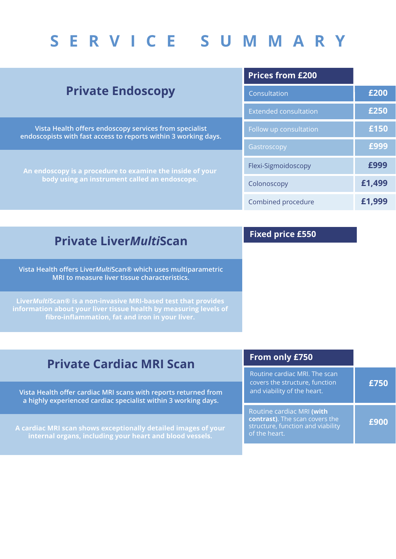|                                                                                                                                                                                                                                         | <b>Prices from £200</b>      |        |
|-----------------------------------------------------------------------------------------------------------------------------------------------------------------------------------------------------------------------------------------|------------------------------|--------|
| <b>Private Endoscopy</b>                                                                                                                                                                                                                | Consultation                 | £200   |
|                                                                                                                                                                                                                                         | <b>Extended consultation</b> | £250   |
| Vista Health offers endoscopy services from specialist<br>endoscopists with fast access to reports within 3 working days.<br>An endoscopy is a procedure to examine the inside of your<br>body using an instrument called an endoscope. | Follow up consultation       | £150   |
|                                                                                                                                                                                                                                         | Gastroscopy                  | £999   |
|                                                                                                                                                                                                                                         | Flexi-Sigmoidoscopy          | £999   |
|                                                                                                                                                                                                                                         | Colonoscopy                  | £1,499 |
|                                                                                                                                                                                                                                         | Combined procedure           | £1,999 |
|                                                                                                                                                                                                                                         |                              |        |

### **Private Liver***Multi***Scan**

**Vista Health offers Liver***Multi***Scan® which uses multiparametric MRI to measure liver tissue characteristics.**

**Liver***Multi***Scan® is a non-invasive MRI-based test that provides information about your liver tissue health by measuring levels of fibro-inflammation, fat and iron in your liver.**

#### **Fixed price £550**

**Vista Health offer cardiac MRI scans with reports returned from a highly experienced cardiac specialist within 3 working days.**

**A cardiac MRI scan shows exceptionally detailed images of your internal organs, including your heart and blood vessels.**

| From only £750                                                                                                    |      |
|-------------------------------------------------------------------------------------------------------------------|------|
| Routine cardiac MRI. The scan<br>covers the structure, function<br>and viability of the heart.                    | £750 |
| Routine cardiac MRI (with<br>contrast). The scan covers the<br>structure, function and viability<br>of the heart. | £900 |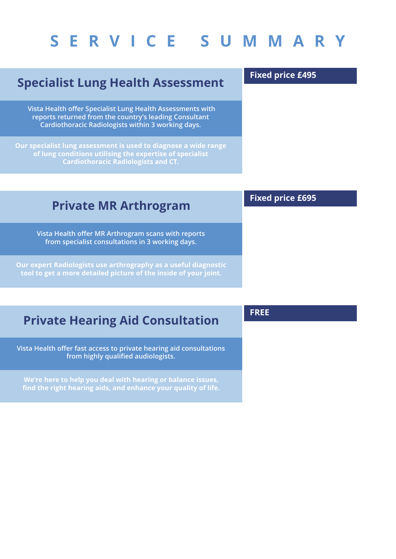### **Specialist Lung Health Assessment**

**Vista Health offer Specialist Lung Health Assessments with reports returned from the country's leading Consultant Cardiothoracic Radiologists within 3 working days.**

**Our specialist lung assessment is used to diagnose a wide range of lung conditions utilising the expertise of specialist Cardiothoracic Radiologists and CT.**

#### **Private MR Arthrogram**

**Vista Health offer MR Arthrogram scans with reports from specialist consultations in 3 working days.**

**Our expert Radiologists use arthrography as a useful diagnostic tool to get a more detailed picture of the inside of your joint.**

### **Private Hearing Aid Consultation**

**Vista Health offer fast access to private hearing aid consultations from highly qualified audiologists.**

**We're here to help you deal with hearing or balance issues, find the right hearing aids, and enhance your quality of life.**

#### **FREE**

**Fixed price £495**

**Fixed price £695**